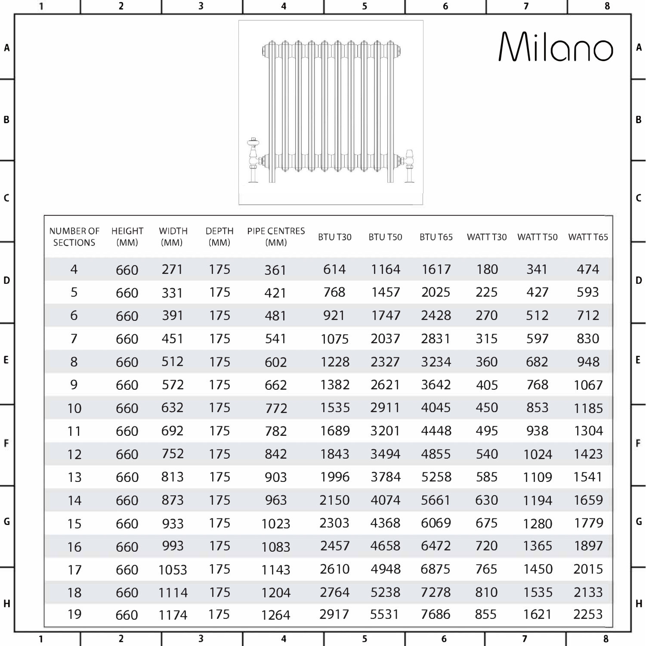|             | 1            |                     | $\overline{\mathbf{2}}$ |              | 3                       | 4                       |        | 5              | 6                |          | $\overline{\mathbf{z}}$ | 8        |              |
|-------------|--------------|---------------------|-------------------------|--------------|-------------------------|-------------------------|--------|----------------|------------------|----------|-------------------------|----------|--------------|
| Α           |              |                     |                         |              |                         |                         |        |                |                  |          |                         | Milano   | A            |
| В           |              |                     |                         |              |                         |                         |        |                |                  |          |                         |          | B            |
| $\mathsf c$ |              | <b>NUMBER OF</b>    | <b>HEIGHT</b>           | <b>WIDTH</b> | <b>DEPTH</b>            | PIPE CENTRES            | BTUT30 | BTU T50        | BTU T65          | WATT T30 | WATT T50                | WATT T65 | $\mathsf{C}$ |
|             |              | <b>SECTIONS</b>     | (MM)                    | (MM)         | (MM)                    | (MM)                    |        |                |                  |          |                         |          |              |
| D           |              | 4                   | 660                     | 271          | 175                     | 361                     | 614    | 1164           | 1617             | 180      | 341                     | 474      | D            |
|             |              | 5                   | 660                     | 331          | 175                     | 421                     | 768    | 1457           | 2025             | 225      | 427                     | 593      |              |
|             |              | 6                   | 660                     | 391          | 175                     | 481                     | 921    | 1747           | 2428             | 270      | 512                     | 712      |              |
|             |              | $\overline{\prime}$ | 660                     | 451          | 175                     | 541                     | 1075   | 2037           | 2831             | 315      | 597                     | 830      |              |
| E           |              | 8                   | 660                     | 512          | 175                     | 602                     | 1228   | 2327           | 3234             | 360      | 682                     | 948      | E            |
|             |              | 9                   | 660                     | 572          | 175                     | 662                     | 1382   | 2621           | 3642             | 405      | 768                     | 1067     |              |
|             |              | 10                  | 660                     | 632          | 175                     | 772                     | 1535   | 2911           | 4045             | 450      | 853                     | 1185     |              |
|             |              | 11                  | 660                     | 692          | 175                     | 782                     | 1689   | 3201           | 4448             | 495      | 938                     | 1304     |              |
| F           |              | 12                  | 660                     | 752          | 175                     | 842                     | 1843   | 3494           | 4855             | 540      | 1024                    | 1423     | F            |
|             |              | 13                  | 660                     | 813          | 175                     | 903                     | 1996   | 3784           | 5258             | 585      | 1109                    | 1541     |              |
|             |              | 14                  | 660                     | 873          | 175                     | 963                     | 2150   | 4074           | 5661             | 630      | 1194                    | 1659     |              |
| $\mathsf G$ |              | 15                  | 660                     | 933          | 175                     | 1023                    | 2303   | 4368           | 6069             | 675      | 1280                    | 1779     | G            |
|             |              | 16                  | 660                     | 993          | 175                     | 1083                    | 2457   | 4658           | 6472             | 720      | 1365                    | 1897     |              |
|             |              | 17                  | 660                     | 1053         | 175                     | 1143                    | 2610   | 4948           | 6875             | 765      | 1450                    | 2015     |              |
|             |              | 18                  | 660                     | 1114         | 175                     | 1204                    | 2764   | 5238           | 7278             | 810      | 1535                    | 2133     |              |
| H           |              | 19                  | 660                     | 1174         | 175                     | 1264                    | 2917   | 5531           | 7686             | 855      | 1621                    | 2253     | H            |
|             | $\mathbf{1}$ |                     | $\overline{2}$          |              | $\overline{\mathbf{3}}$ | $\overline{\mathbf{4}}$ |        | $5\phantom{a}$ | $\boldsymbol{6}$ |          | $\overline{\mathbf{z}}$ | 8        |              |